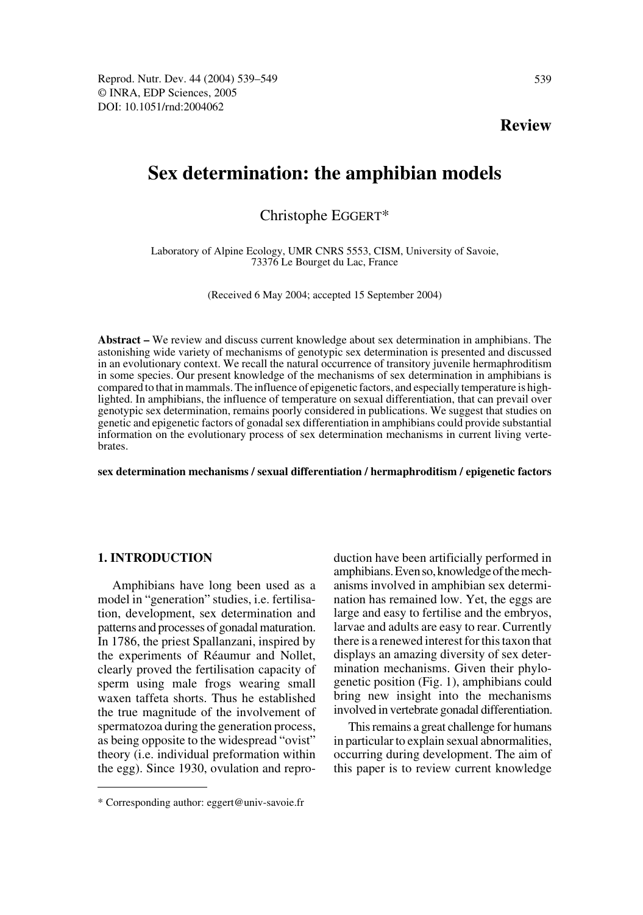**Review**

# **Sex determination: the amphibian models**

Christophe EGGERT\*

Laboratory of Alpine Ecology, UMR CNRS 5553, CISM, University of Savoie, 73376 Le Bourget du Lac, France

(Received 6 May 2004; accepted 15 September 2004)

**Abstract –** We review and discuss current knowledge about sex determination in amphibians. The astonishing wide variety of mechanisms of genotypic sex determination is presented and discussed in an evolutionary context. We recall the natural occurrence of transitory juvenile hermaphroditism in some species. Our present knowledge of the mechanisms of sex determination in amphibians is compared to that in mammals. The influence of epigenetic factors, and especially temperature is highlighted. In amphibians, the influence of temperature on sexual differentiation, that can prevail over genotypic sex determination, remains poorly considered in publications. We suggest that studies on genetic and epigenetic factors of gonadal sex differentiation in amphibians could provide substantial information on the evolutionary process of sex determination mechanisms in current living vertebrates.

**sex determination mechanisms / sexual differentiation / hermaphroditism / epigenetic factors**

## **1. INTRODUCTION**

Amphibians have long been used as a model in "generation" studies, i.e. fertilisation, development, sex determination and patterns and processes of gonadal maturation. In 1786, the priest Spallanzani, inspired by the experiments of Réaumur and Nollet, clearly proved the fertilisation capacity of sperm using male frogs wearing small waxen taffeta shorts. Thus he established the true magnitude of the involvement of spermatozoa during the generation process, as being opposite to the widespread "ovist" theory (i.e. individual preformation within the egg). Since 1930, ovulation and reproduction have been artificially performed in amphibians. Even so, knowledge of the mechanisms involved in amphibian sex determination has remained low. Yet, the eggs are large and easy to fertilise and the embryos, larvae and adults are easy to rear. Currently there is a renewed interest for this taxon that displays an amazing diversity of sex determination mechanisms. Given their phylogenetic position (Fig. 1), amphibians could bring new insight into the mechanisms involved in vertebrate gonadal differentiation.

This remains a great challenge for humans in particular to explain sexual abnormalities, occurring during development. The aim of this paper is to review current knowledge

<sup>\*</sup> Corresponding author: eggert@univ-savoie.fr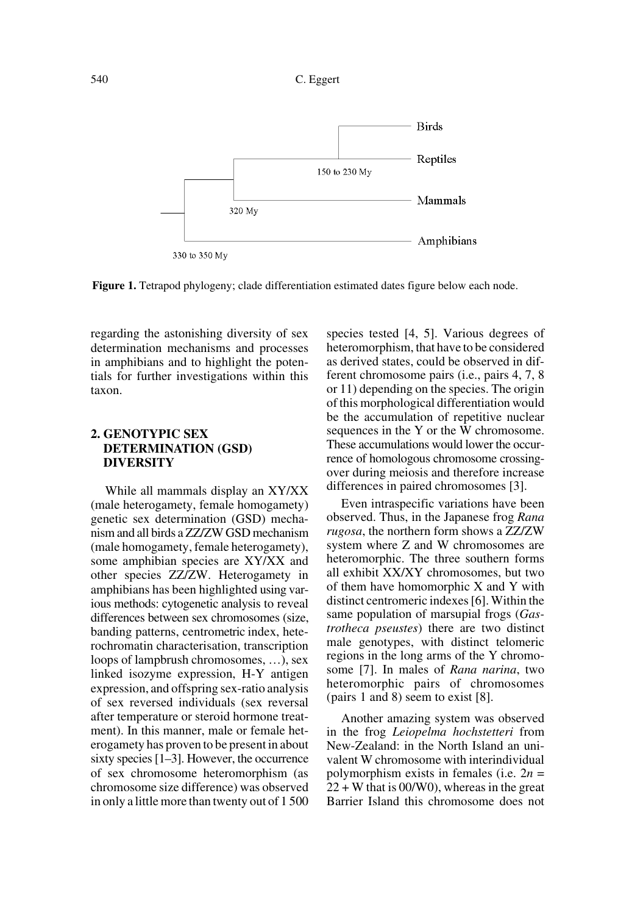

**Figure 1.** Tetrapod phylogeny; clade differentiation estimated dates figure below each node.

regarding the astonishing diversity of sex determination mechanisms and processes in amphibians and to highlight the potentials for further investigations within this taxon.

# **2. GENOTYPIC SEX DETERMINATION (GSD) DIVERSITY**

While all mammals display an XY/XX (male heterogamety, female homogamety) genetic sex determination (GSD) mechanism and all birds a ZZ/ZW GSD mechanism (male homogamety, female heterogamety), some amphibian species are XY/XX and other species ZZ/ZW. Heterogamety in amphibians has been highlighted using various methods: cytogenetic analysis to reveal differences between sex chromosomes (size, banding patterns, centrometric index, heterochromatin characterisation, transcription loops of lampbrush chromosomes, …), sex linked isozyme expression, H-Y antigen expression, and offspring sex-ratio analysis of sex reversed individuals (sex reversal after temperature or steroid hormone treatment). In this manner, male or female heterogamety has proven to be present in about sixty species [1–3]. However, the occurrence of sex chromosome heteromorphism (as chromosome size difference) was observed in only a little more than twenty out of 1 500 species tested [4, 5]. Various degrees of heteromorphism, that have to be considered as derived states, could be observed in different chromosome pairs (i.e., pairs 4, 7, 8 or 11) depending on the species. The origin of this morphological differentiation would be the accumulation of repetitive nuclear sequences in the Y or the W chromosome. These accumulations would lower the occurrence of homologous chromosome crossingover during meiosis and therefore increase differences in paired chromosomes [3].

Even intraspecific variations have been observed. Thus, in the Japanese frog *Rana rugosa*, the northern form shows a ZZ/ZW system where Z and W chromosomes are heteromorphic. The three southern forms all exhibit XX/XY chromosomes, but two of them have homomorphic X and Y with distinct centromeric indexes [6]. Within the same population of marsupial frogs (*Gastrotheca pseustes*) there are two distinct male genotypes, with distinct telomeric regions in the long arms of the Y chromosome [7]. In males of *Rana narina*, two heteromorphic pairs of chromosomes (pairs 1 and 8) seem to exist [8].

Another amazing system was observed in the frog *Leiopelma hochstetteri* from New-Zealand: in the North Island an univalent W chromosome with interindividual polymorphism exists in females (i.e. 2*n* =  $22 + W$  that is 00/W0), whereas in the great Barrier Island this chromosome does not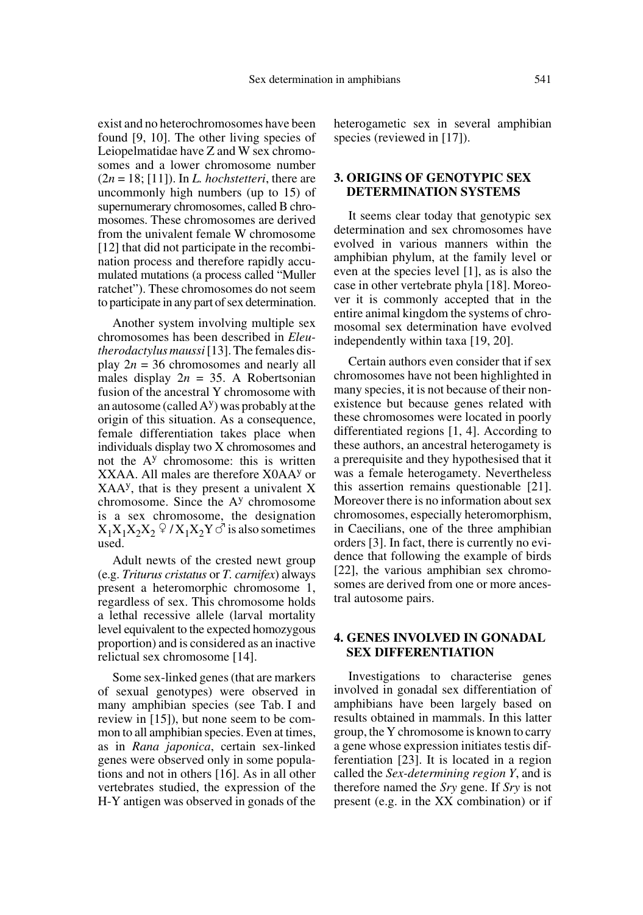exist and no heterochromosomes have been found [9, 10]. The other living species of Leiopelmatidae have Z and W sex chromosomes and a lower chromosome number  $(2n = 18; [11])$ . In *L. hochstetteri*, there are uncommonly high numbers (up to 15) of supernumerary chromosomes, called B chromosomes. These chromosomes are derived from the univalent female W chromosome [12] that did not participate in the recombination process and therefore rapidly accumulated mutations (a process called "Muller ratchet"). These chromosomes do not seem to participate in any part of sex determination.

Another system involving multiple sex chromosomes has been described in *Eleutherodactylus maussi* [13]. The females display  $2n = 36$  chromosomes and nearly all males display  $2n = 35$ . A Robertsonian fusion of the ancestral Y chromosome with an autosome (called  $A<sup>y</sup>$ ) was probably at the origin of this situation. As a consequence, female differentiation takes place when individuals display two X chromosomes and not the A<sup>y</sup> chromosome: this is written XXAA. All males are therefore X0AAy or XAAy, that is they present a univalent X chromosome. Since the  $A<sup>y</sup>$  chromosome is a sex chromosome, the designation  $X_1X_1X_2X_2 \nsubseteq /X_1X_2Y \circ'$  is also sometimes used.

Adult newts of the crested newt group (e.g. *Triturus cristatus* or *T. carnifex*) always present a heteromorphic chromosome 1, regardless of sex. This chromosome holds a lethal recessive allele (larval mortality level equivalent to the expected homozygous proportion) and is considered as an inactive relictual sex chromosome [14].

Some sex-linked genes (that are markers of sexual genotypes) were observed in many amphibian species (see Tab. I and review in [15]), but none seem to be common to all amphibian species. Even at times, as in *Rana japonica*, certain sex-linked genes were observed only in some populations and not in others [16]. As in all other vertebrates studied, the expression of the H-Y antigen was observed in gonads of the

heterogametic sex in several amphibian species (reviewed in [17]).

# **3. ORIGINS OF GENOTYPIC SEX DETERMINATION SYSTEMS**

It seems clear today that genotypic sex determination and sex chromosomes have evolved in various manners within the amphibian phylum, at the family level or even at the species level [1], as is also the case in other vertebrate phyla [18]. Moreover it is commonly accepted that in the entire animal kingdom the systems of chromosomal sex determination have evolved independently within taxa [19, 20].

Certain authors even consider that if sex chromosomes have not been highlighted in many species, it is not because of their nonexistence but because genes related with these chromosomes were located in poorly differentiated regions [1, 4]. According to these authors, an ancestral heterogamety is a prerequisite and they hypothesised that it was a female heterogamety. Nevertheless this assertion remains questionable [21]. Moreover there is no information about sex chromosomes, especially heteromorphism, in Caecilians, one of the three amphibian orders [3]. In fact, there is currently no evidence that following the example of birds [22], the various amphibian sex chromosomes are derived from one or more ancestral autosome pairs.

## **4. GENES INVOLVED IN GONADAL SEX DIFFERENTIATION**

Investigations to characterise genes involved in gonadal sex differentiation of amphibians have been largely based on results obtained in mammals. In this latter group, the Y chromosome is known to carry a gene whose expression initiates testis differentiation [23]. It is located in a region called the *Sex-determining region Y*, and is therefore named the *Sry* gene. If *Sry* is not present (e.g. in the XX combination) or if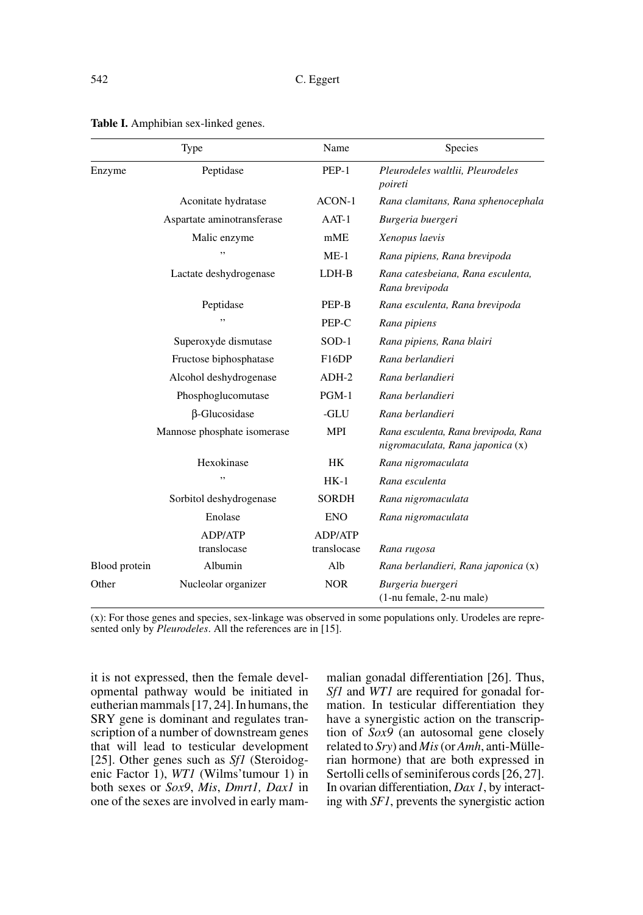|               | Type                        | Name               | Species                                                                  |
|---------------|-----------------------------|--------------------|--------------------------------------------------------------------------|
| Enzyme        | Peptidase                   | $PEP-1$            | Pleurodeles waltlii, Pleurodeles<br>poireti                              |
|               | Aconitate hydratase         | $ACON-1$           | Rana clamitans, Rana sphenocephala                                       |
|               | Aspartate aminotransferase  | $AAT-1$            | Burgeria buergeri                                                        |
|               | Malic enzyme                | mME                | Xenopus laevis                                                           |
|               | ,,                          | $ME-1$             | Rana pipiens, Rana brevipoda                                             |
|               | Lactate deshydrogenase      | LDH-B              | Rana catesbeiana, Rana esculenta,<br>Rana brevipoda                      |
|               | Peptidase                   | PEP-B              | Rana esculenta, Rana brevipoda                                           |
|               |                             | PEP-C              | Rana pipiens                                                             |
|               | Superoxyde dismutase        | $SOD-1$            | Rana pipiens, Rana blairi                                                |
|               | Fructose biphosphatase      | F <sub>16</sub> DP | Rana berlandieri                                                         |
|               | Alcohol deshydrogenase      | $ADH-2$            | Rana berlandieri                                                         |
|               | Phosphoglucomutase          | $PGM-1$            | Rana berlandieri                                                         |
|               | β-Glucosidase               | -GLU               | Rana berlandieri                                                         |
|               | Mannose phosphate isomerase | <b>MPI</b>         | Rana esculenta, Rana brevipoda, Rana<br>nigromaculata, Rana japonica (x) |
|               | Hexokinase                  | HK                 | Rana nigromaculata                                                       |
|               | ,,                          | $HK-1$             | Rana esculenta                                                           |
|               | Sorbitol deshydrogenase     | <b>SORDH</b>       | Rana nigromaculata                                                       |
|               | Enolase                     | <b>ENO</b>         | Rana nigromaculata                                                       |
|               | ADP/ATP                     | ADP/ATP            |                                                                          |
|               | translocase                 | translocase        | Rana rugosa                                                              |
| Blood protein | Albumin                     | Alb                | Rana berlandieri, Rana japonica (x)                                      |
| Other         | Nucleolar organizer         | <b>NOR</b>         | Burgeria buergeri<br>(1-nu female, 2-nu male)                            |

**Table I.** Amphibian sex-linked genes.

(x): For those genes and species, sex-linkage was observed in some populations only. Urodeles are represented only by *Pleurodeles*. All the references are in [15].

it is not expressed, then the female developmental pathway would be initiated in eutherian mammals [17, 24]. In humans, the SRY gene is dominant and regulates transcription of a number of downstream genes that will lead to testicular development [25]. Other genes such as *Sf1* (Steroidogenic Factor 1), *WT1* (Wilms'tumour 1) in both sexes or *Sox9*, *Mis*, *Dmrt1, Dax1* in one of the sexes are involved in early mammalian gonadal differentiation [26]. Thus, *Sf1* and *WT1* are required for gonadal formation. In testicular differentiation they have a synergistic action on the transcription of *Sox9* (an autosomal gene closely related to *Sry*) and *Mis* (or *Amh*, anti-Müllerian hormone) that are both expressed in Sertolli cells of seminiferous cords [26, 27]. In ovarian differentiation, *Dax 1*, by interacting with *SF1*, prevents the synergistic action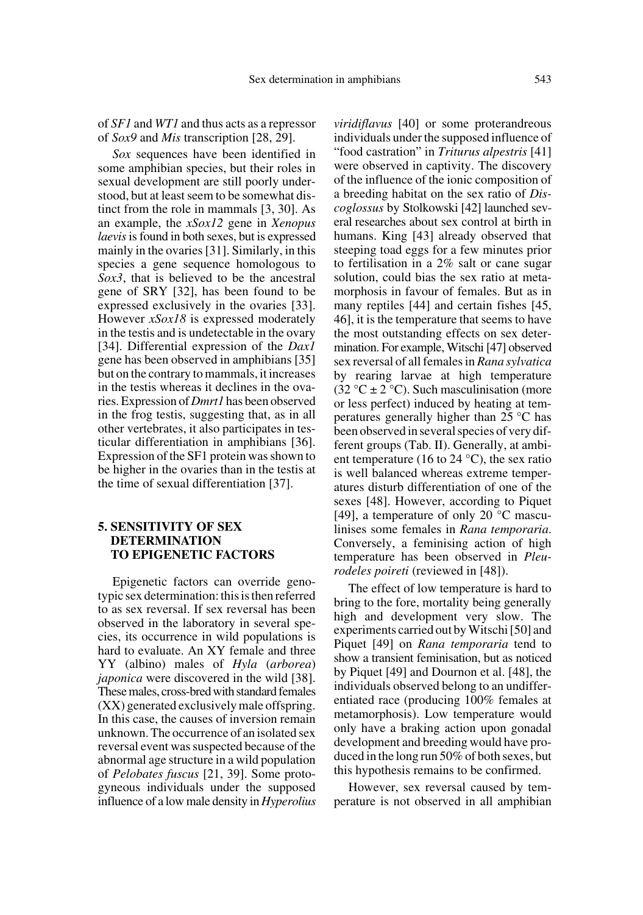of *SF1* and *WT1* and thus acts as a repressor of *Sox9* and *Mis* transcription [28, 29].

*Sox* sequences have been identified in some amphibian species, but their roles in sexual development are still poorly understood, but at least seem to be somewhat distinct from the role in mammals [3, 30]. As an example, the *xSox12* gene in *Xenopus laevis* is found in both sexes, but is expressed mainly in the ovaries [31]. Similarly, in this species a gene sequence homologous to *Sox3*, that is believed to be the ancestral gene of SRY [32], has been found to be expressed exclusively in the ovaries [33]. However *xSox18* is expressed moderately in the testis and is undetectable in the ovary [34]. Differential expression of the *Dax1* gene has been observed in amphibians [35] but on the contrary to mammals, it increases in the testis whereas it declines in the ovaries. Expression of *Dmrt1* has been observed in the frog testis, suggesting that, as in all other vertebrates, it also participates in testicular differentiation in amphibians [36]. Expression of the SF1 protein was shown to be higher in the ovaries than in the testis at the time of sexual differentiation [37].

# **5. SENSITIVITY OF SEX DETERMINATION TO EPIGENETIC FACTORS**

Epigenetic factors can override genotypic sex determination: this is then referred to as sex reversal. If sex reversal has been observed in the laboratory in several species, its occurrence in wild populations is hard to evaluate. An XY female and three YY (albino) males of *Hyla* (*arborea*) *japonica* were discovered in the wild [38]. These males, cross-bred with standard females (XX) generated exclusively male offspring. In this case, the causes of inversion remain unknown. The occurrence of an isolated sex reversal event was suspected because of the abnormal age structure in a wild population of *Pelobates fuscus* [21, 39]. Some protogyneous individuals under the supposed influence of a low male density in *Hyperolius*

*viridiflavus* [40] or some proterandreous individuals under the supposed influence of "food castration" in *Triturus alpestris* [41] were observed in captivity. The discovery of the influence of the ionic composition of a breeding habitat on the sex ratio of *Discoglossus* by Stolkowski [42] launched several researches about sex control at birth in humans. King [43] already observed that steeping toad eggs for a few minutes prior to fertilisation in a 2% salt or cane sugar solution, could bias the sex ratio at metamorphosis in favour of females. But as in many reptiles [44] and certain fishes [45, 46], it is the temperature that seems to have the most outstanding effects on sex determination. For example, Witschi [47] observed sex reversal of all females in *Rana sylvatica* by rearing larvae at high temperature (32 °C  $\pm$  2 °C). Such masculinisation (more or less perfect) induced by heating at temperatures generally higher than 25 °C has been observed in several species of very different groups (Tab. II). Generally, at ambient temperature (16 to 24 °C), the sex ratio is well balanced whereas extreme temperatures disturb differentiation of one of the sexes [48]. However, according to Piquet [49], a temperature of only 20 °C masculinises some females in *Rana temporaria*. Conversely, a feminising action of high temperature has been observed in *Pleurodeles poireti* (reviewed in [48]).

The effect of low temperature is hard to bring to the fore, mortality being generally high and development very slow. The experiments carried out by Witschi [50] and Piquet [49] on *Rana temporaria* tend to show a transient feminisation, but as noticed by Piquet [49] and Dournon et al. [48], the individuals observed belong to an undifferentiated race (producing 100% females at metamorphosis). Low temperature would only have a braking action upon gonadal development and breeding would have produced in the long run 50% of both sexes, but this hypothesis remains to be confirmed.

However, sex reversal caused by temperature is not observed in all amphibian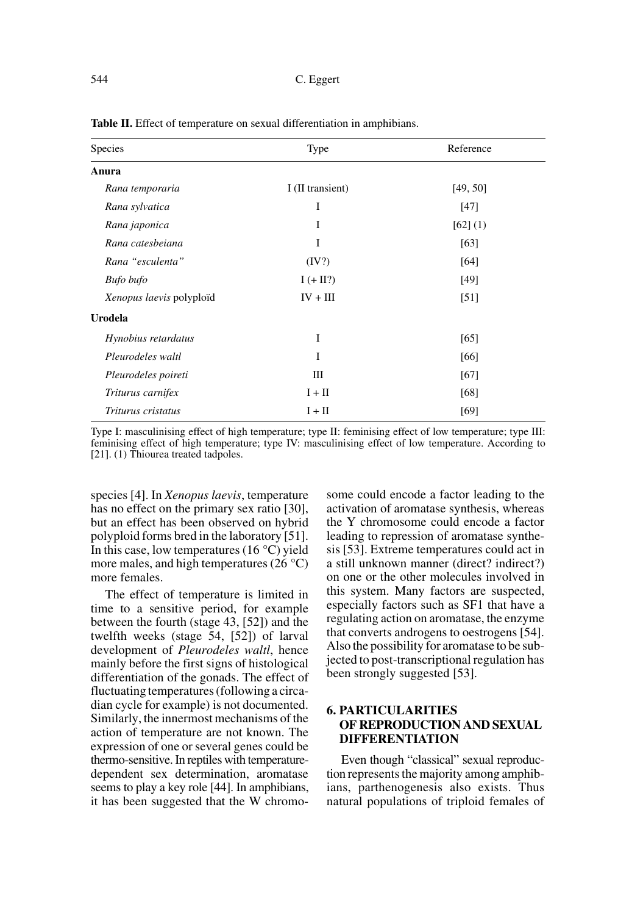| Species                  | Type             | Reference |
|--------------------------|------------------|-----------|
| Anura                    |                  |           |
| Rana temporaria          | I (II transient) | [49, 50]  |
| Rana sylvatica           | I                | [47]      |
| Rana japonica            | I                | [62] (1)  |
| Rana catesbeiana         | I                | [63]      |
| Rana "esculenta"         | (IV?)            | [64]      |
| <b>Bufo</b> bufo         | $I (+ II?)$      | [49]      |
| Xenopus laevis polyploïd | $IV + III$       | [51]      |
| Urodela                  |                  |           |
| Hynobius retardatus      | I                | [65]      |
| Pleurodeles waltl        | I                | [66]      |
| Pleurodeles poireti      | Ш                | [67]      |
| Triturus carnifex        | $I + II$         | [68]      |
| Triturus cristatus       | $I + II$         | [69]      |

Table II. Effect of temperature on sexual differentiation in amphibians.

Type I: masculinising effect of high temperature; type II: feminising effect of low temperature; type III: feminising effect of high temperature; type IV: masculinising effect of low temperature. According to [21]. (1) Thiourea treated tadpoles.

species [4]. In *Xenopus laevis*, temperature has no effect on the primary sex ratio [30], but an effect has been observed on hybrid polyploid forms bred in the laboratory [51]. In this case, low temperatures (16  $\degree$ C) yield more males, and high temperatures  $(26 \degree C)$ more females.

The effect of temperature is limited in time to a sensitive period, for example between the fourth (stage 43, [52]) and the twelfth weeks (stage 54, [52]) of larval development of *Pleurodeles waltl*, hence mainly before the first signs of histological differentiation of the gonads. The effect of fluctuating temperatures (following a circadian cycle for example) is not documented. Similarly, the innermost mechanisms of the action of temperature are not known. The expression of one or several genes could be thermo-sensitive. In reptiles with temperaturedependent sex determination, aromatase seems to play a key role [44]. In amphibians, it has been suggested that the W chromosome could encode a factor leading to the activation of aromatase synthesis, whereas the Y chromosome could encode a factor leading to repression of aromatase synthesis [53]. Extreme temperatures could act in a still unknown manner (direct? indirect?) on one or the other molecules involved in this system. Many factors are suspected, especially factors such as SF1 that have a regulating action on aromatase, the enzyme that converts androgens to oestrogens [54]. Also the possibility for aromatase to be subjected to post-transcriptional regulation has been strongly suggested [53].

# **6. PARTICULARITIES OF REPRODUCTION AND SEXUAL DIFFERENTIATION**

Even though "classical" sexual reproduction represents the majority among amphibians, parthenogenesis also exists. Thus natural populations of triploid females of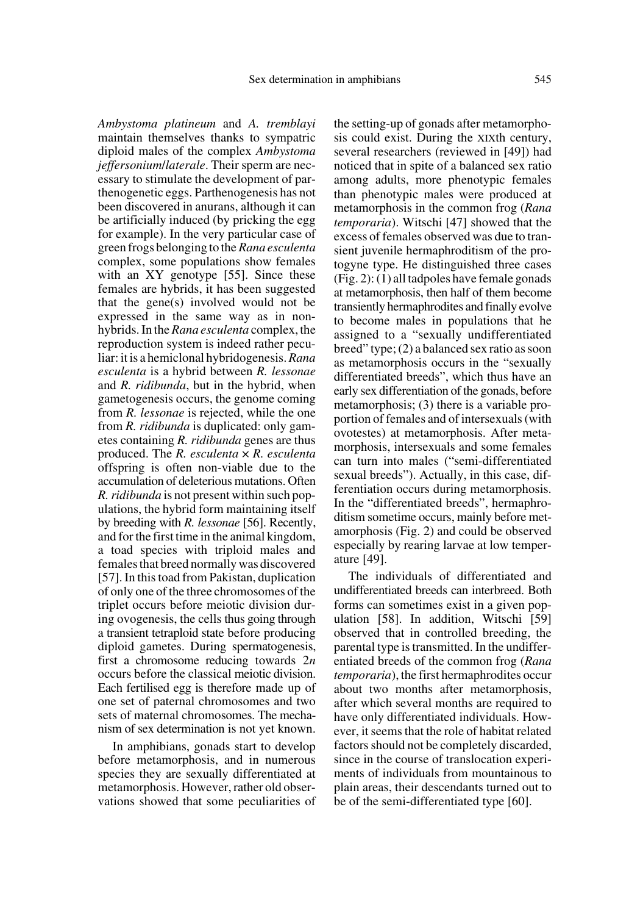*Ambystoma platineum* and *A. tremblayi* maintain themselves thanks to sympatric diploid males of the complex *Ambystoma jeffersonium*/*laterale*. Their sperm are necessary to stimulate the development of parthenogenetic eggs. Parthenogenesis has not been discovered in anurans, although it can be artificially induced (by pricking the egg for example). In the very particular case of green frogs belonging to the *Rana esculenta* complex, some populations show females with an XY genotype [55]. Since these females are hybrids, it has been suggested that the gene(s) involved would not be expressed in the same way as in nonhybrids. In the *Rana esculenta* complex, the reproduction system is indeed rather peculiar: it is a hemiclonal hybridogenesis. *Rana esculenta* is a hybrid between *R. lessonae* and *R. ridibunda*, but in the hybrid, when gametogenesis occurs, the genome coming from *R. lessonae* is rejected, while the one from *R. ridibunda* is duplicated: only gametes containing *R. ridibunda* genes are thus produced. The *R. esculenta* × *R. esculenta* offspring is often non-viable due to the accumulation of deleterious mutations. Often *R. ridibunda* is not present within such populations, the hybrid form maintaining itself by breeding with *R. lessonae* [56]. Recently, and for the first time in the animal kingdom, a toad species with triploid males and females that breed normally was discovered [57]. In this toad from Pakistan, duplication of only one of the three chromosomes of the triplet occurs before meiotic division during ovogenesis, the cells thus going through a transient tetraploid state before producing diploid gametes. During spermatogenesis, first a chromosome reducing towards 2*n* occurs before the classical meiotic division. Each fertilised egg is therefore made up of one set of paternal chromosomes and two sets of maternal chromosomes. The mechanism of sex determination is not yet known.

In amphibians, gonads start to develop before metamorphosis, and in numerous species they are sexually differentiated at metamorphosis. However, rather old observations showed that some peculiarities of the setting-up of gonads after metamorphosis could exist. During the XIXth century, several researchers (reviewed in [49]) had noticed that in spite of a balanced sex ratio among adults, more phenotypic females than phenotypic males were produced at metamorphosis in the common frog (*Rana temporaria*). Witschi [47] showed that the excess of females observed was due to transient juvenile hermaphroditism of the protogyne type. He distinguished three cases (Fig. 2): (1) all tadpoles have female gonads at metamorphosis, then half of them become transiently hermaphrodites and finally evolve to become males in populations that he assigned to a "sexually undifferentiated breed" type; (2) a balanced sex ratio as soon as metamorphosis occurs in the "sexually differentiated breeds", which thus have an early sex differentiation of the gonads, before metamorphosis; (3) there is a variable proportion of females and of intersexuals (with ovotestes) at metamorphosis. After metamorphosis, intersexuals and some females can turn into males ("semi-differentiated sexual breeds"). Actually, in this case, differentiation occurs during metamorphosis. In the "differentiated breeds", hermaphroditism sometime occurs, mainly before metamorphosis (Fig. 2) and could be observed especially by rearing larvae at low temperature [49].

The individuals of differentiated and undifferentiated breeds can interbreed. Both forms can sometimes exist in a given population [58]. In addition, Witschi [59] observed that in controlled breeding, the parental type is transmitted. In the undifferentiated breeds of the common frog (*Rana temporaria*), the first hermaphrodites occur about two months after metamorphosis, after which several months are required to have only differentiated individuals. However, it seems that the role of habitat related factors should not be completely discarded, since in the course of translocation experiments of individuals from mountainous to plain areas, their descendants turned out to be of the semi-differentiated type [60].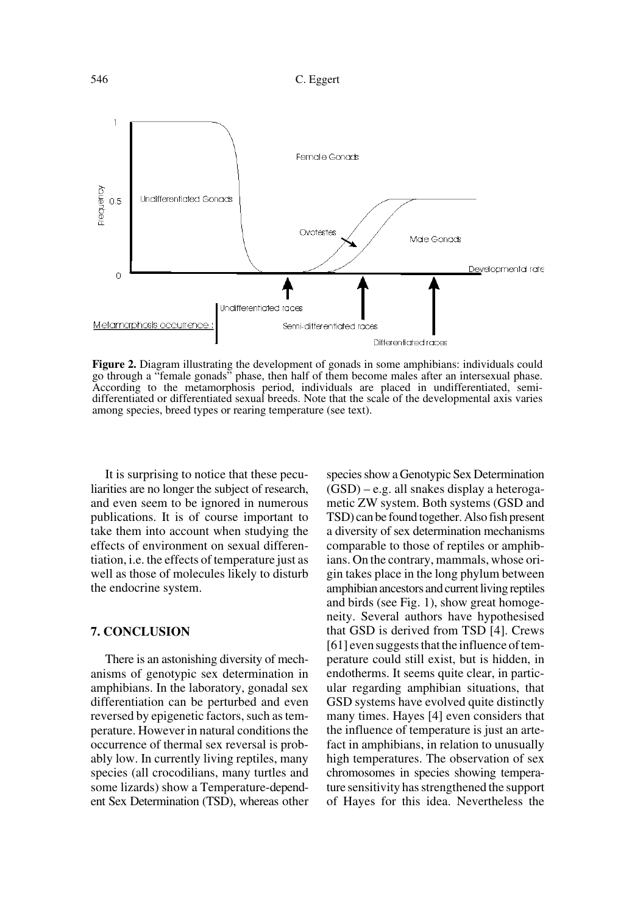546 C. Eggert



**Figure 2.** Diagram illustrating the development of gonads in some amphibians: individuals could go through a "female gonads" phase, then half of them become males after an intersexual phase. According to the metamorphosis period, individuals are placed in undifferentiated, semidifferentiated or differentiated sexual breeds. Note that the scale of the developmental axis varies among species, breed types or rearing temperature (see text).

It is surprising to notice that these peculiarities are no longer the subject of research, and even seem to be ignored in numerous publications. It is of course important to take them into account when studying the effects of environment on sexual differentiation, i.e. the effects of temperature just as well as those of molecules likely to disturb the endocrine system.

#### **7. CONCLUSION**

There is an astonishing diversity of mechanisms of genotypic sex determination in amphibians. In the laboratory, gonadal sex differentiation can be perturbed and even reversed by epigenetic factors, such as temperature. However in natural conditions the occurrence of thermal sex reversal is probably low. In currently living reptiles, many species (all crocodilians, many turtles and some lizards) show a Temperature-dependent Sex Determination (TSD), whereas other species show a Genotypic Sex Determination (GSD) – e.g. all snakes display a heterogametic ZW system. Both systems (GSD and TSD) can be found together. Also fish present a diversity of sex determination mechanisms comparable to those of reptiles or amphibians. On the contrary, mammals, whose origin takes place in the long phylum between amphibian ancestors and current living reptiles and birds (see Fig. 1), show great homogeneity. Several authors have hypothesised that GSD is derived from TSD [4]. Crews [61] even suggests that the influence of temperature could still exist, but is hidden, in endotherms. It seems quite clear, in particular regarding amphibian situations, that GSD systems have evolved quite distinctly many times. Hayes [4] even considers that the influence of temperature is just an artefact in amphibians, in relation to unusually high temperatures. The observation of sex chromosomes in species showing temperature sensitivity has strengthened the support of Hayes for this idea. Nevertheless the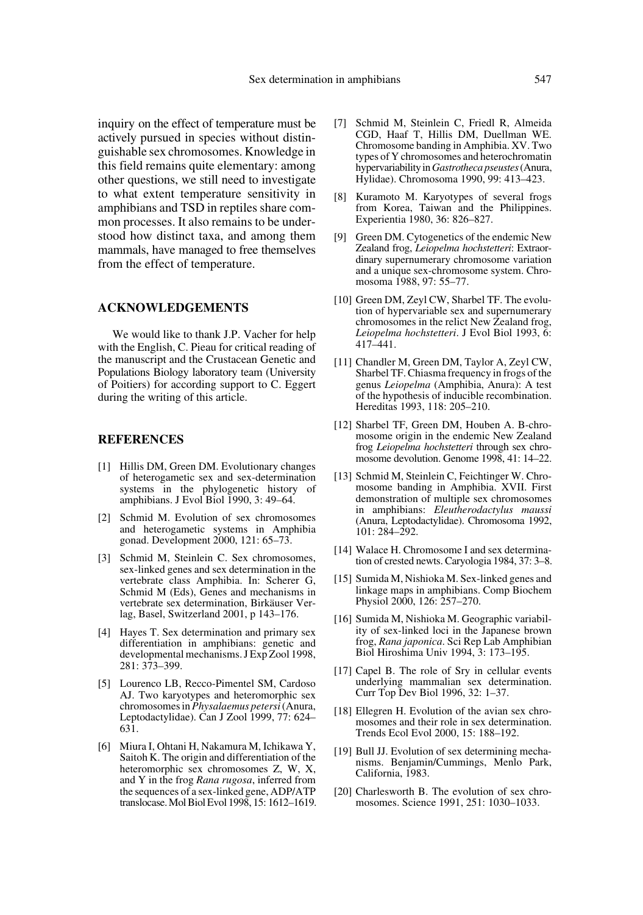inquiry on the effect of temperature must be actively pursued in species without distinguishable sex chromosomes. Knowledge in this field remains quite elementary: among other questions, we still need to investigate to what extent temperature sensitivity in amphibians and TSD in reptiles share common processes. It also remains to be understood how distinct taxa, and among them mammals, have managed to free themselves from the effect of temperature.

### **ACKNOWLEDGEMENTS**

We would like to thank J.P. Vacher for help with the English, C. Pieau for critical reading of the manuscript and the Crustacean Genetic and Populations Biology laboratory team (University of Poitiers) for according support to C. Eggert during the writing of this article.

## **REFERENCES**

- [1] Hillis DM, Green DM. Evolutionary changes of heterogametic sex and sex-determination systems in the phylogenetic history of amphibians. J Evol Biol 1990, 3: 49–64.
- [2] Schmid M. Evolution of sex chromosomes and heterogametic systems in Amphibia gonad. Development 2000, 121: 65–73.
- [3] Schmid M, Steinlein C. Sex chromosomes, sex-linked genes and sex determination in the vertebrate class Amphibia. In: Scherer G, Schmid M (Eds), Genes and mechanisms in vertebrate sex determination, Birkäuser Verlag, Basel, Switzerland 2001, p 143–176.
- [4] Hayes T. Sex determination and primary sex differentiation in amphibians: genetic and developmental mechanisms. J Exp Zool 1998, 281: 373–399.
- [5] Lourenco LB, Recco-Pimentel SM, Cardoso AJ. Two karyotypes and heteromorphic sex chromosomes in *Physalaemus petersi* (Anura, Leptodactylidae). Can J Zool 1999, 77: 624– 631.
- [6] Miura I, Ohtani H, Nakamura M, Ichikawa Y, Saitoh K. The origin and differentiation of the heteromorphic sex chromosomes Z, W, X, and Y in the frog *Rana rugosa*, inferred from the sequences of a sex-linked gene, ADP/ATP translocase. Mol Biol Evol 1998, 15: 1612–1619.
- [7] Schmid M, Steinlein C, Friedl R, Almeida CGD, Haaf T, Hillis DM, Duellman WE. Chromosome banding in Amphibia. XV. Two types of Y chromosomes and heterochromatin hypervariability in *Gastrotheca pseustes* (Anura, Hylidae). Chromosoma 1990, 99: 413–423.
- [8] Kuramoto M. Karyotypes of several frogs from Korea, Taiwan and the Philippines. Experientia 1980, 36: 826–827.
- [9] Green DM. Cytogenetics of the endemic New Zealand frog, *Leiopelma hochstetteri*: Extraordinary supernumerary chromosome variation and a unique sex-chromosome system. Chromosoma 1988, 97: 55–77.
- [10] Green DM, Zeyl CW, Sharbel TF. The evolution of hypervariable sex and supernumerary chromosomes in the relict New Zealand frog, *Leiopelma hochstetteri*. J Evol Biol 1993, 6: 417–441.
- [11] Chandler M, Green DM, Taylor A, Zeyl CW, Sharbel TF. Chiasma frequency in frogs of the genus *Leiopelma* (Amphibia, Anura): A test of the hypothesis of inducible recombination. Hereditas 1993, 118: 205–210.
- [12] Sharbel TF, Green DM, Houben A. B-chromosome origin in the endemic New Zealand frog *Leiopelma hochstetteri* through sex chromosome devolution. Genome 1998, 41: 14–22.
- [13] Schmid M, Steinlein C, Feichtinger W. Chromosome banding in Amphibia. XVII. First demonstration of multiple sex chromosomes in amphibians: *Eleutherodactylus maussi* (Anura, Leptodactylidae). Chromosoma 1992, 101: 284–292.
- [14] Walace H. Chromosome I and sex determination of crested newts. Caryologia 1984, 37: 3–8.
- [15] Sumida M, Nishioka M. Sex-linked genes and linkage maps in amphibians. Comp Biochem Physiol 2000, 126: 257–270.
- [16] Sumida M, Nishioka M. Geographic variability of sex-linked loci in the Japanese brown frog, *Rana japonica*. Sci Rep Lab Amphibian Biol Hiroshima Univ 1994, 3: 173–195.
- [17] Capel B. The role of Sry in cellular events underlying mammalian sex determination. Curr Top Dev Biol 1996, 32: 1–37.
- [18] Ellegren H. Evolution of the avian sex chromosomes and their role in sex determination. Trends Ecol Evol 2000, 15: 188–192.
- [19] Bull JJ. Evolution of sex determining mechanisms. Benjamin/Cummings, Menlo Park, California, 1983.
- [20] Charlesworth B. The evolution of sex chromosomes. Science 1991, 251: 1030–1033.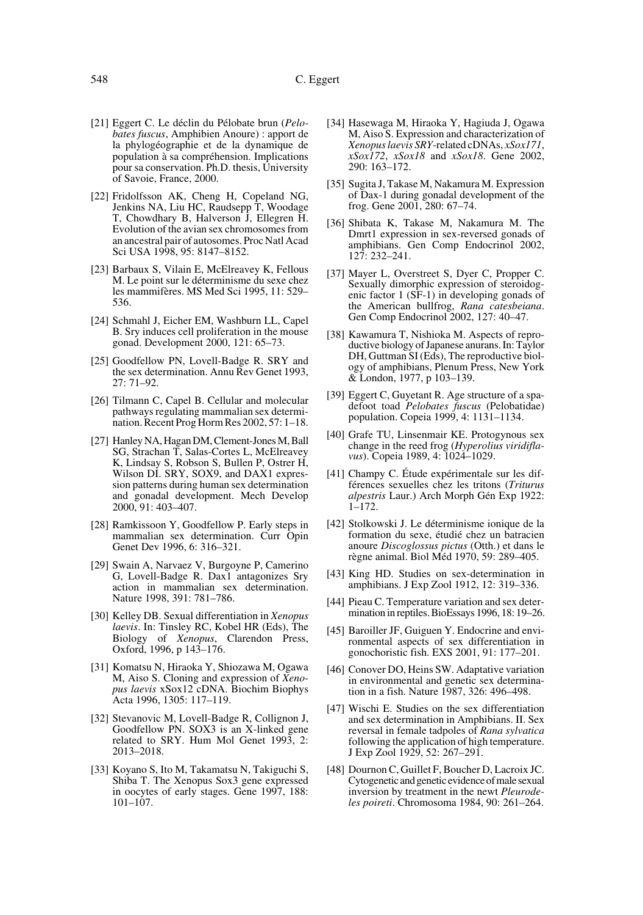- [21] Eggert C. Le déclin du Pélobate brun (*Pelobates fuscus*, Amphibien Anoure) : apport de la phylogéographie et de la dynamique de population à sa compréhension. Implications pour sa conservation. Ph.D. thesis, University of Savoie, France, 2000.
- [22] Fridolfsson AK, Cheng H, Copeland NG, Jenkins NA, Liu HC, Raudsepp T, Woodage T, Chowdhary B, Halverson J, Ellegren H. Evolution of the avian sex chromosomes from an ancestral pair of autosomes. Proc Natl Acad Sci USA 1998, 95: 8147–8152.
- [23] Barbaux S, Vilain E, McElreavey K, Fellous M. Le point sur le déterminisme du sexe chez les mammifères. MS Med Sci 1995, 11: 529– 536.
- [24] Schmahl J, Eicher EM, Washburn LL, Capel B. Sry induces cell proliferation in the mouse gonad. Development 2000, 121: 65–73.
- [25] Goodfellow PN, Lovell-Badge R. SRY and the sex determination. Annu Rev Genet 1993, 27: 71–92.
- [26] Tilmann C, Capel B. Cellular and molecular pathways regulating mammalian sex determination. Recent Prog Horm Res 2002, 57: 1–18.
- [27] Hanley NA, Hagan DM, Clement-Jones M, Ball SG, Strachan T, Salas-Cortes L, McElreavey K, Lindsay S, Robson S, Bullen P, Ostrer H, Wilson DI. SRY, SOX9, and DAX1 expression patterns during human sex determination and gonadal development. Mech Develop 2000, 91: 403–407.
- [28] Ramkissoon Y, Goodfellow P. Early steps in mammalian sex determination. Curr Opin Genet Dev 1996, 6: 316–321.
- [29] Swain A, Narvaez V, Burgoyne P, Camerino G, Lovell-Badge R. Dax1 antagonizes Sry action in mammalian sex determination. Nature 1998, 391: 781–786.
- [30] Kelley DB. Sexual differentiation in *Xenopus laevis*. In: Tinsley RC, Kobel HR (Eds), The Biology of *Xenopus*, Clarendon Press, Oxford, 1996, p 143–176.
- [31] Komatsu N, Hiraoka Y, Shiozawa M, Ogawa M, Aiso S. Cloning and expression of *Xenopus laevis* xSox12 cDNA. Biochim Biophys Acta 1996, 1305: 117–119.
- [32] Stevanovic M, Lovell-Badge R, Collignon J, Goodfellow PN. SOX3 is an X-linked gene related to SRY. Hum Mol Genet 1993, 2: 2013–2018.
- [33] Koyano S, Ito M, Takamatsu N, Takiguchi S, Shiba T. The Xenopus Sox3 gene expressed in oocytes of early stages. Gene 1997, 188: 101–107.
- [34] Hasewaga M, Hiraoka Y, Hagiuda J, Ogawa M, Aiso S. Expression and characterization of *Xenopus laevis SRY*-related cDNAs, *xSox171*, *xSox172*, *xSox18* and *xSox18*. Gene 2002, 290: 163–172.
- [35] Sugita J, Takase M, Nakamura M. Expression of Dax-1 during gonadal development of the frog. Gene 2001, 280: 67–74.
- [36] Shibata K, Takase M, Nakamura M. The Dmrt1 expression in sex-reversed gonads of amphibians. Gen Comp Endocrinol 2002, 127: 232–241.
- [37] Mayer L, Overstreet S, Dyer C, Propper C. Sexually dimorphic expression of steroidogenic factor 1 (SF-1) in developing gonads of the American bullfrog, *Rana catesbeiana*. Gen Comp Endocrinol 2002, 127: 40–47.
- [38] Kawamura T, Nishioka M. Aspects of reproductive biology of Japanese anurans. In: Taylor DH, Guttman SI (Eds), The reproductive biology of amphibians, Plenum Press, New York & London, 1977, p 103–139.
- [39] Eggert C, Guyetant R. Age structure of a spadefoot toad *Pelobates fuscus* (Pelobatidae) population. Copeia 1999, 4: 1131–1134.
- [40] Grafe TU, Linsenmair KE. Protogynous sex change in the reed frog (*Hyperolius viridiflavus*). Copeia 1989, 4: 1024–1029.
- [41] Champy C. Étude expérimentale sur les différences sexuelles chez les tritons (*Triturus alpestris* Laur.) Arch Morph Gén Exp 1922: 1–172.
- [42] Stolkowski J. Le déterminisme ionique de la formation du sexe, étudié chez un batracien anoure *Discoglossus pictus* (Otth.) et dans le règne animal. Biol Méd 1970, 59: 289–405.
- [43] King HD. Studies on sex-determination in amphibians. J Exp Zool 1912, 12: 319–336.
- [44] Pieau C. Temperature variation and sex determination in reptiles. BioEssays 1996, 18: 19–26.
- [45] Baroiller JF, Guiguen Y. Endocrine and environmental aspects of sex differentiation in gonochoristic fish. EXS 2001, 91: 177–201.
- [46] Conover DO, Heins SW. Adaptative variation in environmental and genetic sex determination in a fish. Nature 1987, 326: 496–498.
- [47] Wischi E. Studies on the sex differentiation and sex determination in Amphibians. II. Sex reversal in female tadpoles of *Rana sylvatica* following the application of high temperature. J Exp Zool 1929, 52: 267–291.
- [48] Dournon C, Guillet F, Boucher D, Lacroix JC. Cytogenetic and genetic evidence of male sexual inversion by treatment in the newt *Pleurodeles poireti*. Chromosoma 1984, 90: 261–264.